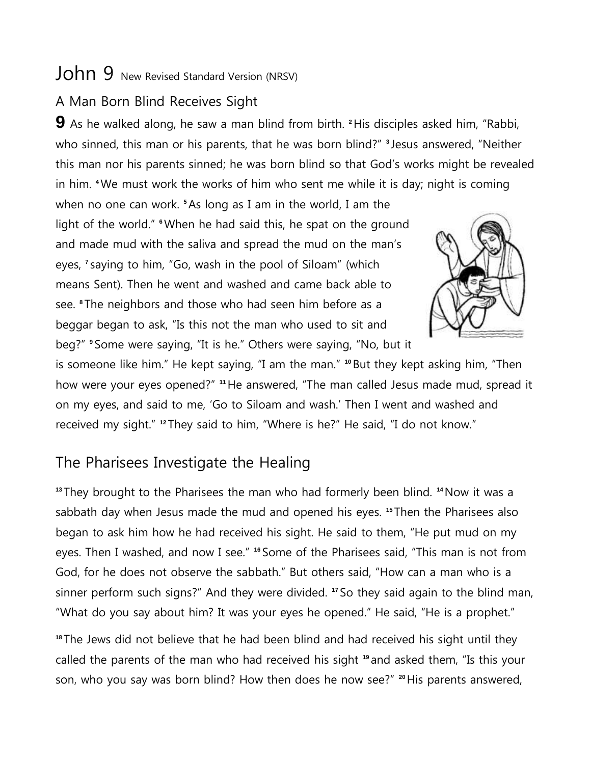## John 9 New Revised Standard Version (NRSV)

## A Man Born Blind Receives Sight

**9** As he walked along, he saw a man blind from birth. **<sup>2</sup>**His disciples asked him, "Rabbi, who sinned, this man or his parents, that he was born blind?" **<sup>3</sup>** Jesus answered, "Neither this man nor his parents sinned; he was born blind so that God's works might be revealed in him. **<sup>4</sup>**We must work the works of him who sent me while it is day; night is coming

when no one can work. **<sup>5</sup>**As long as I am in the world, I am the light of the world." <sup>6</sup> When he had said this, he spat on the ground and made mud with the saliva and spread the mud on the man's eyes, **<sup>7</sup>** saying to him, "Go, wash in the pool of Siloam" (which means Sent). Then he went and washed and came back able to see. **<sup>8</sup>** The neighbors and those who had seen him before as a beggar began to ask, "Is this not the man who used to sit and beg?" **<sup>9</sup>** Some were saying, "It is he." Others were saying, "No, but it



is someone like him." He kept saying, "I am the man." **<sup>10</sup>**But they kept asking him, "Then how were your eyes opened?" **<sup>11</sup>**He answered, "The man called Jesus made mud, spread it on my eyes, and said to me, 'Go to Siloam and wash.' Then I went and washed and received my sight." **<sup>12</sup>** They said to him, "Where is he?" He said, "I do not know."

## The Pharisees Investigate the Healing

**<sup>13</sup>** They brought to the Pharisees the man who had formerly been blind. **<sup>14</sup>**Now it was a sabbath day when Jesus made the mud and opened his eyes. **<sup>15</sup>** Then the Pharisees also began to ask him how he had received his sight. He said to them, "He put mud on my eyes. Then I washed, and now I see." **<sup>16</sup>** Some of the Pharisees said, "This man is not from God, for he does not observe the sabbath." But others said, "How can a man who is a sinner perform such signs?" And they were divided. **<sup>17</sup>** So they said again to the blind man, "What do you say about him? It was your eyes he opened." He said, "He is a prophet."

**<sup>18</sup>** The Jews did not believe that he had been blind and had received his sight until they called the parents of the man who had received his sight **<sup>19</sup>** and asked them, "Is this your son, who you say was born blind? How then does he now see?" **<sup>20</sup>**His parents answered,